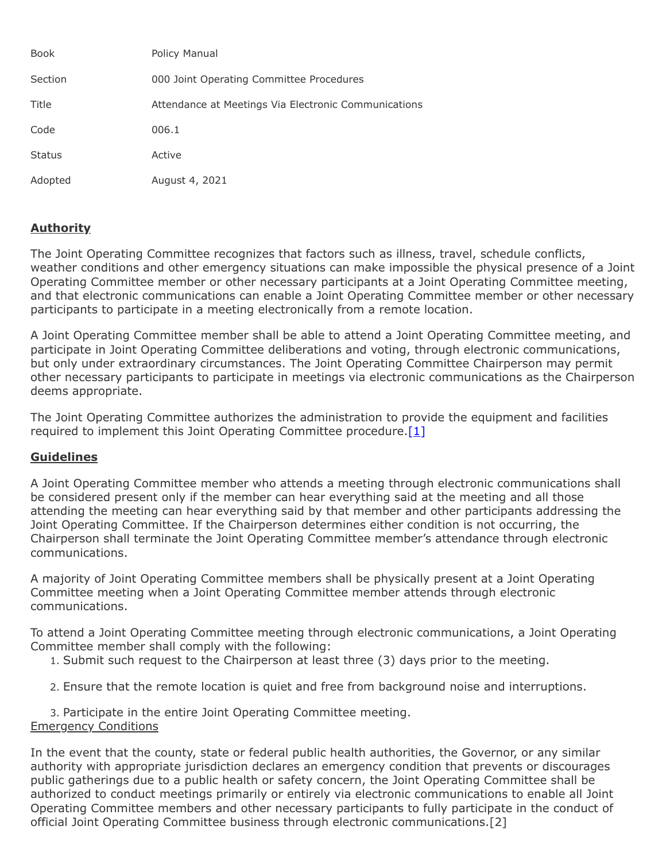| <b>Book</b>   | <b>Policy Manual</b>                                 |
|---------------|------------------------------------------------------|
| Section       | 000 Joint Operating Committee Procedures             |
| Title         | Attendance at Meetings Via Electronic Communications |
| Code          | 006.1                                                |
| <b>Status</b> | Active                                               |
| Adopted       | August 4, 2021                                       |

## **Authority**

The Joint Operating Committee recognizes that factors such as illness, travel, schedule conflicts, weather conditions and other emergency situations can make impossible the physical presence of a Joint Operating Committee member or other necessary participants at a Joint Operating Committee meeting, and that electronic communications can enable a Joint Operating Committee member or other necessary participants to participate in a meeting electronically from a remote location.

A Joint Operating Committee member shall be able to attend a Joint Operating Committee meeting, and participate in Joint Operating Committee deliberations and voting, through electronic communications, but only under extraordinary circumstances. The Joint Operating Committee Chairperson may permit other necessary participants to participate in meetings via electronic communications as the Chairperson deems appropriate.

The Joint Operating Committee authorizes the administration to provide the equipment and facilities required to implement this Joint Operating Committee procedure.  $[1]$ 

## **Guidelines**

A Joint Operating Committee member who attends a meeting through electronic communications shall be considered present only if the member can hear everything said at the meeting and all those attending the meeting can hear everything said by that member and other participants addressing the Joint Operating Committee. If the Chairperson determines either condition is not occurring, the Chairperson shall terminate the Joint Operating Committee member's attendance through electronic communications.

A majority of Joint Operating Committee members shall be physically present at a Joint Operating Committee meeting when a Joint Operating Committee member attends through electronic communications.

To attend a Joint Operating Committee meeting through electronic communications, a Joint Operating Committee member shall comply with the following:

- 1. Submit such request to the Chairperson at least three (3) days prior to the meeting.
- 2. Ensure that the remote location is quiet and free from background noise and interruptions.

3. Participate in the entire Joint Operating Committee meeting. Emergency Conditions

In the event that the county, state or federal public health authorities, the Governor, or any similar authority with appropriate jurisdiction declares an emergency condition that prevents or discourages public gatherings due to a public health or safety concern, the Joint Operating Committee shall be authorized to conduct meetings primarily or entirely via electronic communications to enable all Joint Operating Committee members and other necessary participants to fully participate in the conduct of official Joint Operating Committee business through electronic communications.[2]